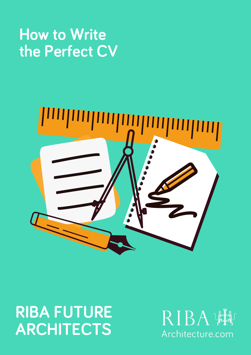# How to Write the Perfect CV



# RIBA FUTURE ARCHITECTS

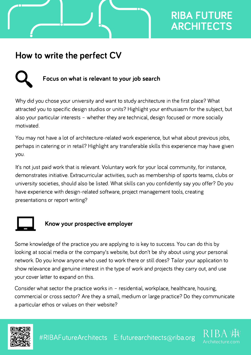### How to write the perfect CV

#### Focus on what is relevant to your job search

why did you chose your university and want to study architecture in the first place? What<br>attracted you to specific design studios or units? Highlight your enthusiasm for the subject, but attracted you to specific design studios or units? Highlight your enthusiasm for the subject,<br>also vour particular interests – whether thev are technical, design focused or more socially also your particular interests - whether they are technical, design focused or more socially wou<br>Y

 may not have <sup>a</sup> lot of architecture-related work experience, but what about previous jobs, perhaps in catering or in retail? Highlight any transferable skills this experience may have given perhaps in catering or in retail? Highlight any transferable skills this experience may have given you. It's

y - .<br>It's not just paid work that is relevant. Voluntary work for your local community, for instance,<br>demonstrates initiative. Extracurricular activities, such as membership of sports teams, clubs or demonstrates initiative. Extracurricular activities, such as membership of sports teams, clubs or<br>university societies, should also be listed. What skills can you confidently say you offer? Do you university societies, should also be listed. What skills can you confidently say you c<br>have experience with design-related software, project management tools, creating have experience with design-rel<br>presentations or report writing?



#### Know your prospective employer

some knowledge of the practice you are applying to is key to success. You can do this by<br>looking at social media or the company's website, but don't be shy about using your personal looking at social media or the company's website, but don't be shy about using your personal<br>network. Do vou know anvone who used to work there or still does? Tailor vour application to network. Do you know anyone who used to work there or still does? Tailor your application to<br>show relevance and genuine interest in the type of work and proiects they carry out, and use show relevance and genuine intere<br>vour cover letter to expand on this. your cover letter to expand on this.

your cover tetter to expano on this.<br>Consider what sector the practice works in – residential, workplace, healthcare, housing,<br>commercial or cross sector? Are thev a small. medium or large practice? Do thev communicate commercial or cross sector? Are they a smal<br>a particular ethos or values on their website?



#RIBAFutureArchitects E: futurearchitects@riba.org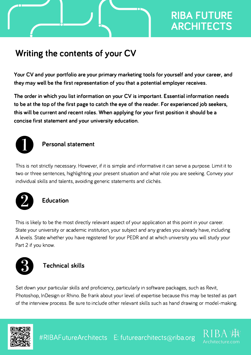### Writing the contents of your CV

Your CV and your portfolio are your primary marketing tools for yourself and your career, and they may well be the first representation of you that a potential employer receives.

The order in which you list information on your CV is important. Essential information needs to be at the top of the first page to catch the eye of the reader. For experienced job seekers, this will be current and recent roles. When applying for your first position it should be a concise first statement and your university education.



#### Personal statement

This is not strictly necessary. However, if it is simple and informative it can serve a purpose. Limit it to<br>two or three sentences, highlighting your present situation and what role you are seeking. Convey your two or three sentences, highlighting your present situation and what<br>individual skills and talents. avoiding generic statements and clichés.



#### Education

This is likely to be the most directly relevant aspect of your application at this point in your career.<br>State vour university or academic institution, your subiect and any grades you already have, including State your university or academic institution, your subject and any grades you already have, including<br>A levels. State whether vou have registered for vour PEDR and at which university you will study your A levels. State whe<br>Part 2 if vou know.



#### Technical skills

.<br>Set down your particular skills and proficiency, particularly in software packages, such as Revit,<br>Photoshop, InDesign or Rhino. Be frank about your level of expertise because this may be tested as part Photoshop, InDesign or Rhino. Be frank about your level of expertise because this may be tested as part<br>of the interview process. Be sure to include other relevant skills such as hand drawing or model-making.



#RIBAFutureArchitects E: futurearchitects@riba.org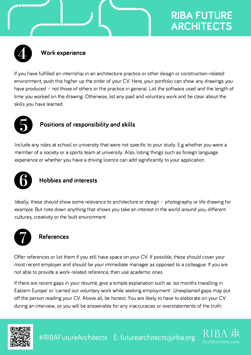

#### Work experience

 you have fulfilled an internship in an architecture practice or other design or construction-related environment, push this higher up the order of your CV. Here, your portfolio can show any drawings you environment, push this higher up the order of your CV. Here, your portfolio can show any drawings you<br>have produced – not those of others or the practice in general. List the software used and the length of have produced – not those of others or the practice in general. List the software used and the length<br>time vou worked on the drawing. Otherwise, list any paid and voluntary work and be clear about the time you worked on the<br>skills you have learned.



#### Positions of responsibility and skills

 any roles at school or university that were not specific to your study. E.g whether you were <sup>a</sup> member of <sup>a</sup> society or <sup>a</sup> sports team at university. Also, listing things such as foreign language member of a society or a sports team at university. Also, listing things such as foreign lan<br>experience or whether you have a driving licence can add significantly to your application.



#### Hobbies and interests

 these should show some relevance to architecture or design – photography or life drawing for example. But note down anything that shows you take an interest in the world around you, different example. But note down anything that shov<br>cultures. creativity or the built environment.



#### References

offer references or list them if you still have space on your CV. If possible, these should cover your<br>most recent emplover and should be vour immediate manager as opposed to a colleague. If you are most recent employer and should be your immediate manager as opp<br>not able to provide a work-related reference, then use academic ones. not able to provide a work-related reference, then use academic ones.

 there are recent gaps in your résumé, give <sup>a</sup> simple explanation such as 'six months travelling in Eastern Europe' or 'carried out voluntary work while seeking employment'. Unexplained gaps may put Eastern Europe' or 'carried out voluntary work while seeking employment'. Unexplained gaps may p<br>off the person reading vour CV. Above all. be honest. You are likely to have to elaborate on your CV off the person reading your CV. Above all, be honest. You are likely to have to elaborate on your C<br>during an interview, so vou will be answerable for anv inaccuracies or overstatements of the truth.

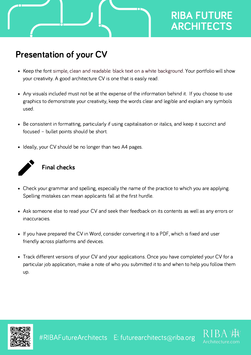### Presentation of your CV

- the font simple, clean and readable: black text on <sup>a</sup> white background. Your portfolio will show your creativity. <sup>A</sup> good architecture CV is one that is easily read.
- .<br>Any visuals included must not be at the expense of the information behind it. If you choose to use<br>graphics to demonstrate your creativity, keep the words clear and legible and explain any symbols graphics to demonstrate your creativity, keep the words clear and legible and explain any symbols used.
- Be consistent in formatting, particularly if using capitalisation or italics, and keep it succinct and<br>focused bullet points should be short.
- Ideally, your CV should be no longer than two A4 pages.



#### Final checks

- Check your grammar and spelling, especially the name of the practice to which you are applying.<br>Spelling mistakes can mean applicants fall at the first hurdle.
- .<br>Ask someone else to read your CV and seek their feedback on its contents as well as any errors or
- you have prepared the CV in Word, consider converting it to <sup>a</sup> PDF, which is fixed and user friendly across platforms and devices.
- Track different versions of your CV and your applications. Once you have completed your CV for a<br>particular iob application, make a note of who you submitted it to and when to help you follow them particular job application, make a note of who you submitted it to and when to help you follow them Up.



#RIBAFutureArchitects E: futurearchitects@riba.org